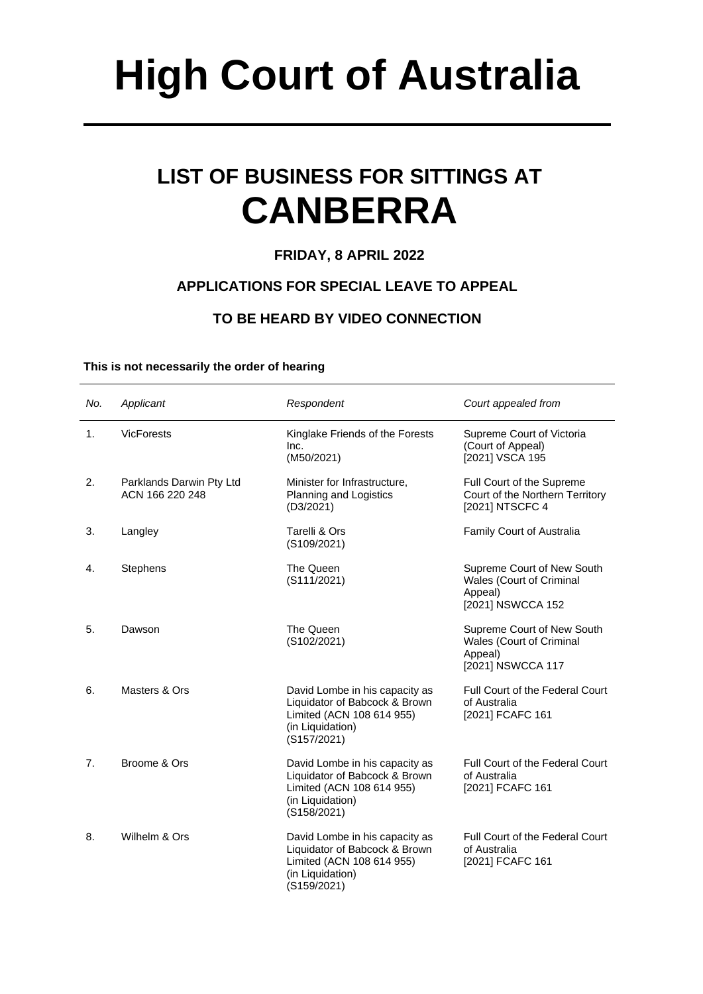# **High Court of Australia**

## **LIST OF BUSINESS FOR SITTINGS AT CANBERRA**

### **FRIDAY, 8 APRIL 2022**

#### **APPLICATIONS FOR SPECIAL LEAVE TO APPEAL**

#### **TO BE HEARD BY VIDEO CONNECTION**

#### **This is not necessarily the order of hearing**

| No. | Applicant                                   | Respondent                                                                                                                      | Court appealed from                                                                    |
|-----|---------------------------------------------|---------------------------------------------------------------------------------------------------------------------------------|----------------------------------------------------------------------------------------|
| 1.  | <b>VicForests</b>                           | Kinglake Friends of the Forests<br>Inc.<br>(M50/2021)                                                                           | Supreme Court of Victoria<br>(Court of Appeal)<br>[2021] VSCA 195                      |
| 2.  | Parklands Darwin Pty Ltd<br>ACN 166 220 248 | Minister for Infrastructure,<br>Planning and Logistics<br>(D3/2021)                                                             | Full Court of the Supreme<br>Court of the Northern Territory<br>[2021] NTSCFC 4        |
| 3.  | Langley                                     | Tarelli & Ors<br>(S109/2021)                                                                                                    | Family Court of Australia                                                              |
| 4.  | <b>Stephens</b>                             | The Queen<br>(S111/2021)                                                                                                        | Supreme Court of New South<br>Wales (Court of Criminal<br>Appeal)<br>[2021] NSWCCA 152 |
| 5.  | Dawson                                      | The Queen<br>(S102/2021)                                                                                                        | Supreme Court of New South<br>Wales (Court of Criminal<br>Appeal)<br>[2021] NSWCCA 117 |
| 6.  | Masters & Ors                               | David Lombe in his capacity as<br>Liquidator of Babcock & Brown<br>Limited (ACN 108 614 955)<br>(in Liquidation)<br>(S157/2021) | <b>Full Court of the Federal Court</b><br>of Australia<br>[2021] FCAFC 161             |
| 7.  | Broome & Ors                                | David Lombe in his capacity as<br>Liquidator of Babcock & Brown<br>Limited (ACN 108 614 955)<br>(in Liquidation)<br>(S158/2021) | <b>Full Court of the Federal Court</b><br>of Australia<br>[2021] FCAFC 161             |
| 8.  | Wilhelm & Ors                               | David Lombe in his capacity as<br>Liquidator of Babcock & Brown<br>Limited (ACN 108 614 955)<br>(in Liquidation)<br>(S159/2021) | <b>Full Court of the Federal Court</b><br>of Australia<br>[2021] FCAFC 161             |